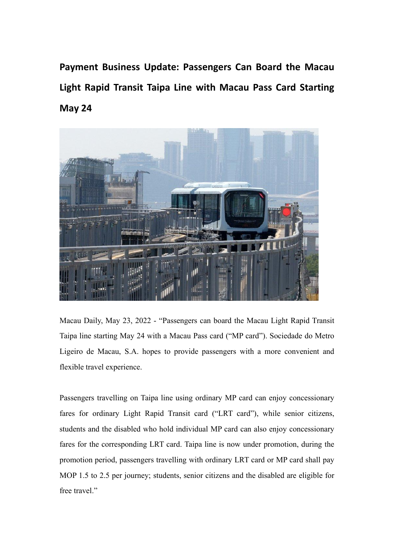**Payment Business Update: Passengers Can Board the Macau Light Rapid Transit Taipa Line with Macau Pass Card Starting May 24**



Macau Daily, May 23, 2022 - "Passengers can board the Macau Light Rapid Transit Taipa line starting May 24 with a Macau Passcard ("MP card"). Sociedade do Metro Ligeiro de Macau, S.A. hopes to provide passengers with a more convenient and flexible travel experience.

Passengers travelling on Taipa line using ordinary MP card can enjoy concessionary fares for ordinary Light Rapid Transit card ("LRT card"), while senior citizens, students and the disabled who hold individual MP card can also enjoy concessionary fares for the corresponding LRT card. Taipa line is now under promotion, during the promotion period, passengers travelling with ordinary LRT card or MP card shall pay MOP 1.5 to 2.5 per journey; students, senior citizens and the disabled are eligible for free travel."